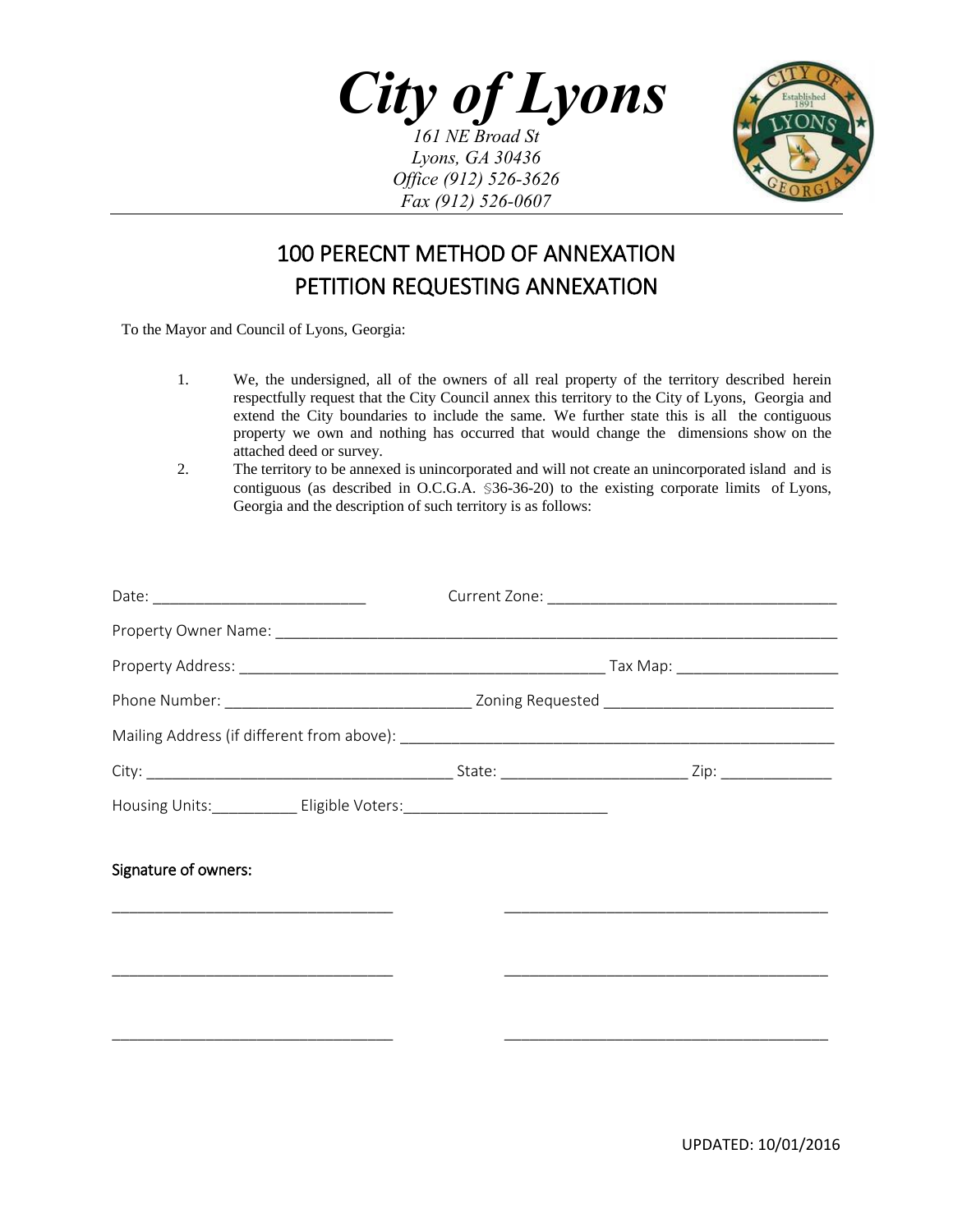*City of Lyons 161 NE Broad St Lyons, GA 30436*



## 100 PERECNT METHOD OF ANNEXATION PETITION REQUESTING ANNEXATION

*Office (912) 526-3626 Fax (912) 526-0607*

To the Mayor and Council of Lyons, Georgia:

- 1. We, the undersigned, all of the owners of all real property of the territory described herein respectfully request that the City Council annex this territory to the City of Lyons, Georgia and extend the City boundaries to include the same. We further state this is all the contiguous property we own and nothing has occurred that would change the dimensions show on the attached deed or survey.
- 2. The territory to be annexed is unincorporated and will not create an unincorporated island and is contiguous (as described in O.C.G.A. §36-36-20) to the existing corporate limits of Lyons, Georgia and the description of such territory is as follows:

| Housing Units: ______________ Eligible Voters: _________________________________                                                                |  |
|-------------------------------------------------------------------------------------------------------------------------------------------------|--|
| Signature of owners:<br><u> 1990 - Johann John Stoff, deutscher Stoff und der Stoff und der Stoff und der Stoff und der Stoff und der Stoff</u> |  |
|                                                                                                                                                 |  |
|                                                                                                                                                 |  |
|                                                                                                                                                 |  |